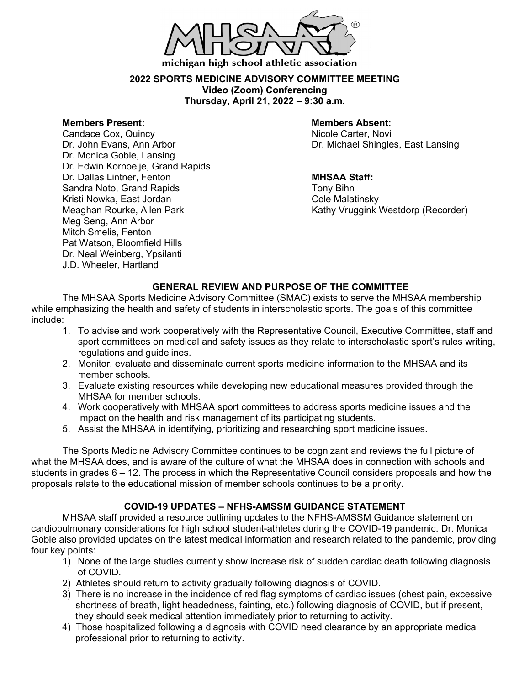

### **2022 SPORTS MEDICINE ADVISORY COMMITTEE MEETING Video (Zoom) Conferencing Thursday, April 21, 2022 – 9:30 a.m.**

**Members Present: Members Absent:** Candace Cox, Quincy Dr. Monica Goble, Lansing Dr. Edwin Kornoelje, Grand Rapids Dr. Dallas Lintner, Fenton **MHSAA Staff:** Sandra Noto, Grand Rapids Tony Bihn Kristi Nowka, East Jordan<br>Meaghan Rourke, Allen Park Meg Seng, Ann Arbor Mitch Smelis, Fenton Pat Watson, Bloomfield Hills Dr. Neal Weinberg, Ypsilanti J.D. Wheeler, Hartland

Dr. John Evans, Ann Arbor Dr. Michael Shingles, East Lansing

Kathy Vruggink Westdorp (Recorder)

## **GENERAL REVIEW AND PURPOSE OF THE COMMITTEE**

The MHSAA Sports Medicine Advisory Committee (SMAC) exists to serve the MHSAA membership while emphasizing the health and safety of students in interscholastic sports. The goals of this committee include:

- 1. To advise and work cooperatively with the Representative Council, Executive Committee, staff and sport committees on medical and safety issues as they relate to interscholastic sport's rules writing, regulations and guidelines.
- 2. Monitor, evaluate and disseminate current sports medicine information to the MHSAA and its member schools.
- 3. Evaluate existing resources while developing new educational measures provided through the MHSAA for member schools.
- 4. Work cooperatively with MHSAA sport committees to address sports medicine issues and the impact on the health and risk management of its participating students.
- 5. Assist the MHSAA in identifying, prioritizing and researching sport medicine issues.

The Sports Medicine Advisory Committee continues to be cognizant and reviews the full picture of what the MHSAA does, and is aware of the culture of what the MHSAA does in connection with schools and students in grades 6 – 12. The process in which the Representative Council considers proposals and how the proposals relate to the educational mission of member schools continues to be a priority.

# **COVID-19 UPDATES – NFHS-AMSSM GUIDANCE STATEMENT**

MHSAA staff provided a resource outlining updates to the NFHS-AMSSM Guidance statement on cardiopulmonary considerations for high school student-athletes during the COVID-19 pandemic. Dr. Monica Goble also provided updates on the latest medical information and research related to the pandemic, providing four key points:

- 1) None of the large studies currently show increase risk of sudden cardiac death following diagnosis of COVID.
- 2) Athletes should return to activity gradually following diagnosis of COVID.
- 3) There is no increase in the incidence of red flag symptoms of cardiac issues (chest pain, excessive shortness of breath, light headedness, fainting, etc.) following diagnosis of COVID, but if present, they should seek medical attention immediately prior to returning to activity.
- 4) Those hospitalized following a diagnosis with COVID need clearance by an appropriate medical professional prior to returning to activity.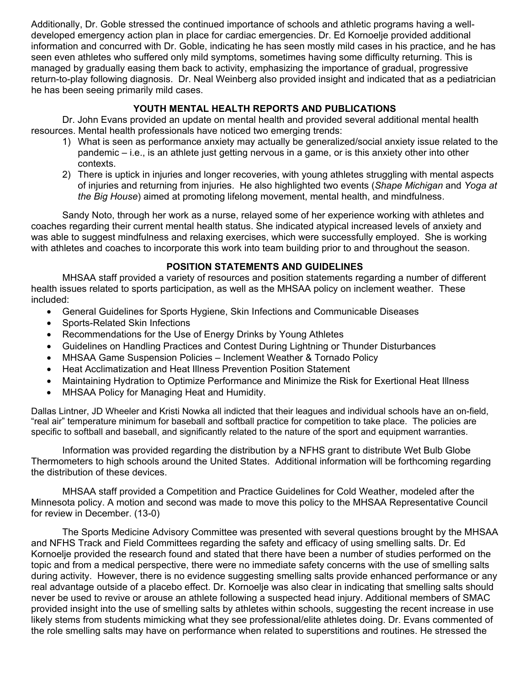Additionally, Dr. Goble stressed the continued importance of schools and athletic programs having a welldeveloped emergency action plan in place for cardiac emergencies. Dr. Ed Kornoelje provided additional information and concurred with Dr. Goble, indicating he has seen mostly mild cases in his practice, and he has seen even athletes who suffered only mild symptoms, sometimes having some difficulty returning. This is managed by gradually easing them back to activity, emphasizing the importance of gradual, progressive return-to-play following diagnosis. Dr. Neal Weinberg also provided insight and indicated that as a pediatrician he has been seeing primarily mild cases.

## **YOUTH MENTAL HEALTH REPORTS AND PUBLICATIONS**

Dr. John Evans provided an update on mental health and provided several additional mental health resources. Mental health professionals have noticed two emerging trends:

- 1) What is seen as performance anxiety may actually be generalized/social anxiety issue related to the pandemic – i.e., is an athlete just getting nervous in a game, or is this anxiety other into other contexts.
- 2) There is uptick in injuries and longer recoveries, with young athletes struggling with mental aspects of injuries and returning from injuries. He also highlighted two events (*Shape Michigan* and *Yoga at the Big House*) aimed at promoting lifelong movement, mental health, and mindfulness.

Sandy Noto, through her work as a nurse, relayed some of her experience working with athletes and coaches regarding their current mental health status. She indicated atypical increased levels of anxiety and was able to suggest mindfulness and relaxing exercises, which were successfully employed. She is working with athletes and coaches to incorporate this work into team building prior to and throughout the season.

## **POSITION STATEMENTS AND GUIDELINES**

MHSAA staff provided a variety of resources and position statements regarding a number of different health issues related to sports participation, as well as the MHSAA policy on inclement weather. These included:

- General Guidelines for Sports Hygiene, Skin Infections and Communicable Diseases
- Sports-Related Skin Infections
- Recommendations for the Use of Energy Drinks by Young Athletes
- Guidelines on Handling Practices and Contest During Lightning or Thunder Disturbances
- MHSAA Game Suspension Policies Inclement Weather & Tornado Policy
- Heat Acclimatization and Heat Illness Prevention Position Statement
- Maintaining Hydration to Optimize Performance and Minimize the Risk for Exertional Heat Illness
- MHSAA Policy for Managing Heat and Humidity.

Dallas Lintner, JD Wheeler and Kristi Nowka all indicted that their leagues and individual schools have an on-field, "real air" temperature minimum for baseball and softball practice for competition to take place. The policies are specific to softball and baseball, and significantly related to the nature of the sport and equipment warranties.

Information was provided regarding the distribution by a NFHS grant to distribute Wet Bulb Globe Thermometers to high schools around the United States. Additional information will be forthcoming regarding the distribution of these devices.

MHSAA staff provided a Competition and Practice Guidelines for Cold Weather, modeled after the Minnesota policy. A motion and second was made to move this policy to the MHSAA Representative Council for review in December. (13-0)

The Sports Medicine Advisory Committee was presented with several questions brought by the MHSAA and NFHS Track and Field Committees regarding the safety and efficacy of using smelling salts. Dr. Ed Kornoelje provided the research found and stated that there have been a number of studies performed on the topic and from a medical perspective, there were no immediate safety concerns with the use of smelling salts during activity. However, there is no evidence suggesting smelling salts provide enhanced performance or any real advantage outside of a placebo effect. Dr. Kornoelje was also clear in indicating that smelling salts should never be used to revive or arouse an athlete following a suspected head injury. Additional members of SMAC provided insight into the use of smelling salts by athletes within schools, suggesting the recent increase in use likely stems from students mimicking what they see professional/elite athletes doing. Dr. Evans commented of the role smelling salts may have on performance when related to superstitions and routines. He stressed the